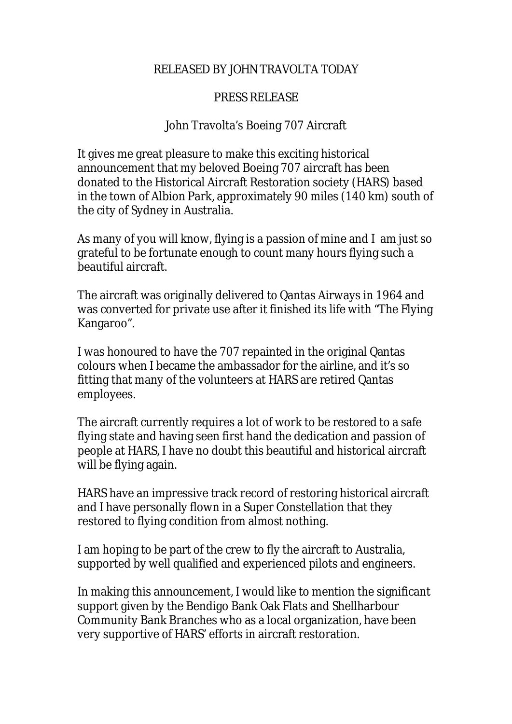## RELEASED BY JOHN TRAVOLTA TODAY

## PRESS RELEASE

## John Travolta's Boeing 707 Aircraft

It gives me great pleasure to make this exciting historical announcement that my beloved Boeing 707 aircraft has been donated to the Historical Aircraft Restoration society (HARS) based in the town of Albion Park, approximately 90 miles (140 km) south of the city of Sydney in Australia.

As many of you will know, flying is a passion of mine and I am just so grateful to be fortunate enough to count many hours flying such a beautiful aircraft.

The aircraft was originally delivered to Qantas Airways in 1964 and was converted for private use after it finished its life with "The Flying Kangaroo".

I was honoured to have the 707 repainted in the original Qantas colours when I became the ambassador for the airline, and it's so fitting that many of the volunteers at HARS are retired Qantas employees.

The aircraft currently requires a lot of work to be restored to a safe flying state and having seen first hand the dedication and passion of people at HARS, I have no doubt this beautiful and historical aircraft will be flying again.

HARS have an impressive track record of restoring historical aircraft and I have personally flown in a Super Constellation that they restored to flying condition from almost nothing.

I am hoping to be part of the crew to fly the aircraft to Australia, supported by well qualified and experienced pilots and engineers.

In making this announcement, I would like to mention the significant support given by the Bendigo Bank Oak Flats and Shellharbour Community Bank Branches who as a local organization, have been very supportive of HARS' efforts in aircraft restoration.